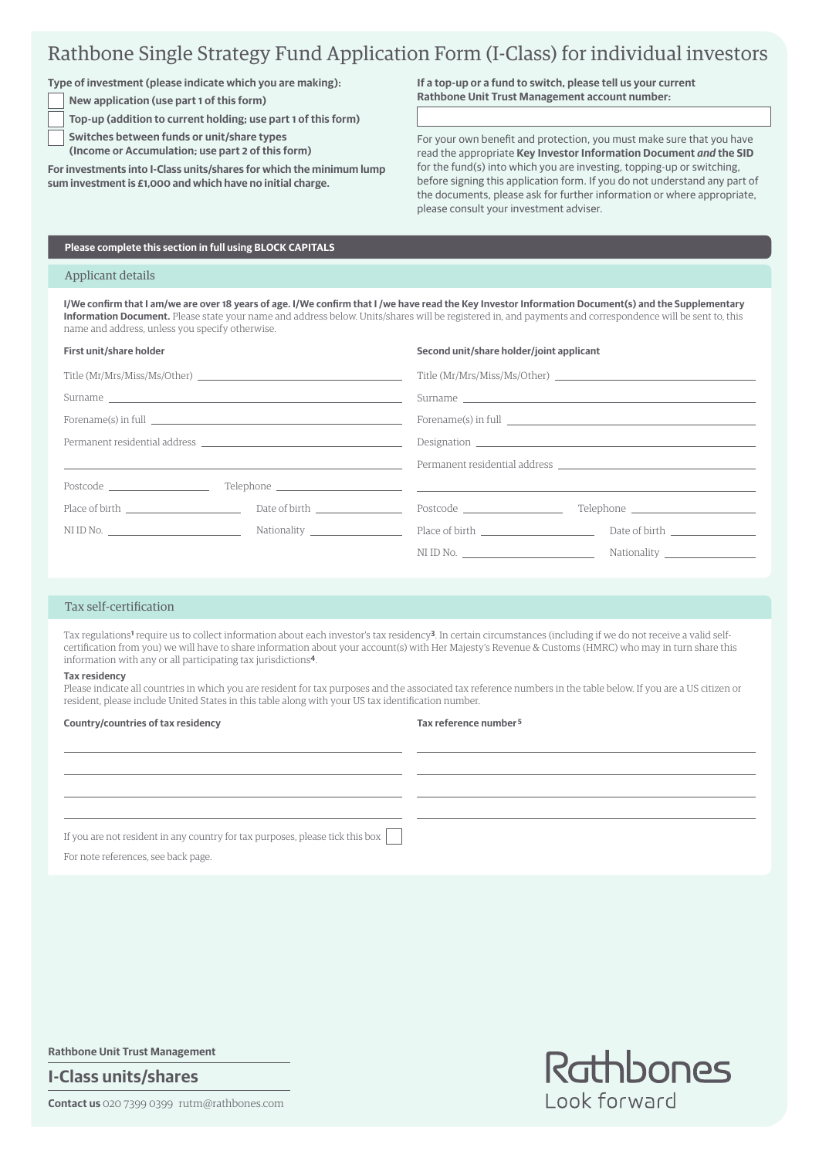# Rathbone Single Strategy Fund Application Form (I-Class) for individual investors

**Type of investment (please indicate which you are making):**

**New application (use part 1 of this form)**

**Top-up (addition to current holding; use part 1 of this form)**

 **Switches between funds or unit/share types**

**(Income or Accumulation; use part 2 of this form)**

**For investments into I-Class units/shares for which the minimum lump sum investment is £1,000 and which have no initial charge.**

**If a top-up or a fund to switch, please tell us your current Rathbone Unit Trust Management account number:**

For your own benefit and protection, you must make sure that you have read the appropriate **Key Investor Information Document** *and* **the SID** for the fund(s) into which you are investing, topping-up or switching, before signing this application form. If you do not understand any part of the documents, please ask for further information or where appropriate, please consult your investment adviser.

## **Please complete this section in full using BLOCK CAPITALS**

### Applicant details

**I/We confirm that I am/we are over 18 years of age. I/We confirm that I /we have read the Key Investor Information Document(s) and the Supplementary Information Document.** Please state your name and address below. Units/shares will be registered in, and payments and correspondence will be sent to, this name and address, unless you specify otherwise.

| First unit/share holder |                                                                                                                        | Second unit/share holder/joint applicant |                                                                                                                                                                                                                                |
|-------------------------|------------------------------------------------------------------------------------------------------------------------|------------------------------------------|--------------------------------------------------------------------------------------------------------------------------------------------------------------------------------------------------------------------------------|
|                         |                                                                                                                        |                                          | Title (Mr/Mrs/Miss/Ms/Other)                                                                                                                                                                                                   |
|                         |                                                                                                                        |                                          |                                                                                                                                                                                                                                |
|                         |                                                                                                                        |                                          |                                                                                                                                                                                                                                |
|                         |                                                                                                                        |                                          |                                                                                                                                                                                                                                |
|                         | <u> 1999 - Johann Stoff, deutscher Stoffen und der Stoffen und der Stoffen und der Stoffen und der Stoffen und der</u> |                                          | Permanent residential address and the control of the control of the control of the control of the control of the control of the control of the control of the control of the control of the control of the control of the cont |
|                         |                                                                                                                        |                                          |                                                                                                                                                                                                                                |
| Place of birth          |                                                                                                                        | Postcode ________________________        | Telephone ___________________________                                                                                                                                                                                          |
| NI ID No.               |                                                                                                                        |                                          |                                                                                                                                                                                                                                |
|                         |                                                                                                                        | NIID No.                                 |                                                                                                                                                                                                                                |
|                         |                                                                                                                        |                                          |                                                                                                                                                                                                                                |

### Tax self-certification

Tax regulations**1** require us to collect information about each investor's tax residency**3**. In certain circumstances (including if we do not receive a valid selfcertification from you) we will have to share information about your account(s) with Her Majesty's Revenue & Customs (HMRC) who may in turn share this information with any or all participating tax jurisdictions**4**.

#### **Tax residency**

Please indicate all countries in which you are resident for tax purposes and the associated tax reference numbers in the table below. If you are a US citizen or resident, please include United States in this table along with your US tax identification number.

#### **Country/countries of tax residency**

#### **Tax reference number 5**

If you are not resident in any country for tax purposes, please tick this box

For note references, see back page.

**Rathbone Unit Trust Management**

**I-Class units/shares**

**Contact us** 020 7399 0399 rutm@rathbones.com

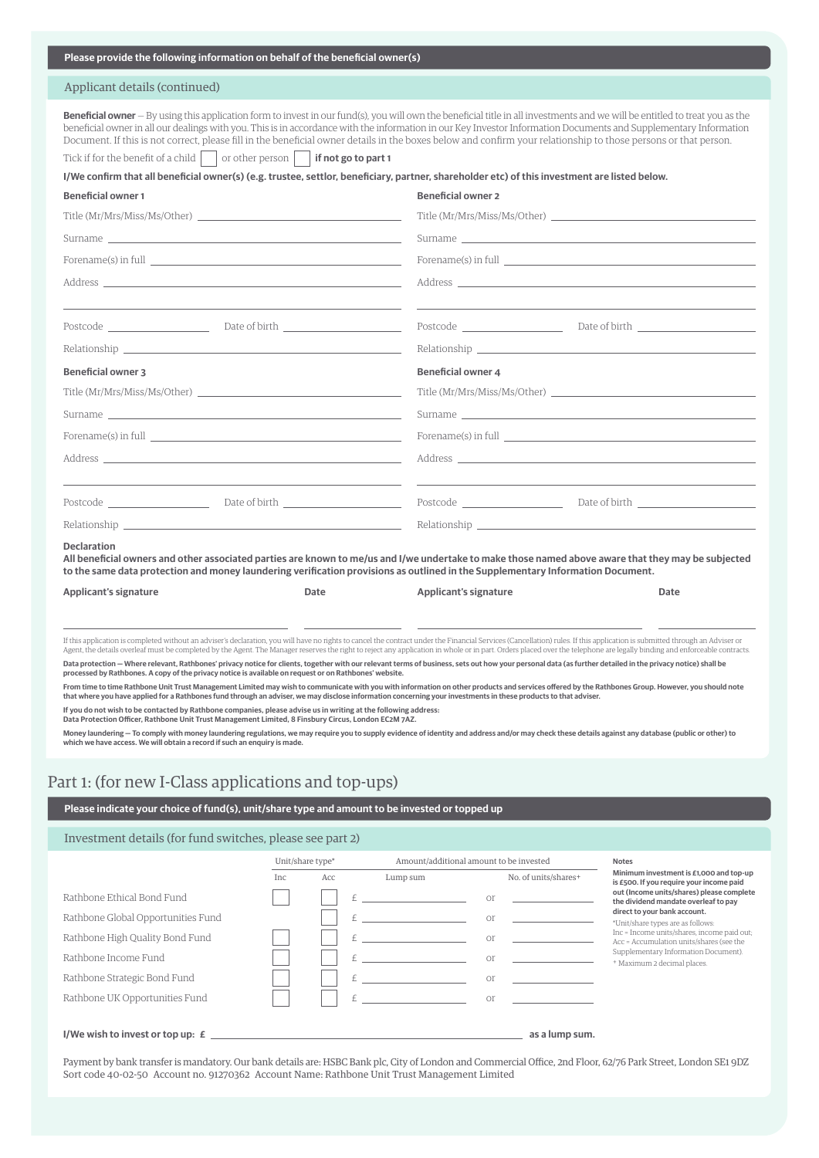| Please provide the following information on behalf of the beneficial owner(s)                                                                                                                                                  |                                                                                                                                                                                                                                                                                                                                                                                                                                                                                                                                                                                                                                                                                                                                                                                                                                                                               |
|--------------------------------------------------------------------------------------------------------------------------------------------------------------------------------------------------------------------------------|-------------------------------------------------------------------------------------------------------------------------------------------------------------------------------------------------------------------------------------------------------------------------------------------------------------------------------------------------------------------------------------------------------------------------------------------------------------------------------------------------------------------------------------------------------------------------------------------------------------------------------------------------------------------------------------------------------------------------------------------------------------------------------------------------------------------------------------------------------------------------------|
| Applicant details (continued)                                                                                                                                                                                                  |                                                                                                                                                                                                                                                                                                                                                                                                                                                                                                                                                                                                                                                                                                                                                                                                                                                                               |
| or other person   if not go to part 1<br>Tick if for the benefit of a child                                                                                                                                                    | Beneficial owner - By using this application form to invest in our fund(s), you will own the beneficial title in all investments and we will be entitled to treat you as the<br>beneficial owner in all our dealings with you. This is in accordance with the information in our Key Investor Information Documents and Supplementary Information<br>Document. If this is not correct, please fill in the beneficial owner details in the boxes below and confirm your relationship to those persons or that person.                                                                                                                                                                                                                                                                                                                                                          |
|                                                                                                                                                                                                                                | I/We confirm that all beneficial owner(s) (e.g. trustee, settlor, beneficiary, partner, shareholder etc) of this investment are listed below.                                                                                                                                                                                                                                                                                                                                                                                                                                                                                                                                                                                                                                                                                                                                 |
| <b>Beneficial owner 1</b>                                                                                                                                                                                                      | <b>Beneficial owner 2</b>                                                                                                                                                                                                                                                                                                                                                                                                                                                                                                                                                                                                                                                                                                                                                                                                                                                     |
| Title (Mr/Mrs/Miss/Ms/Other)                                                                                                                                                                                                   | Title (Mr/Mrs/Miss/Ms/Other)                                                                                                                                                                                                                                                                                                                                                                                                                                                                                                                                                                                                                                                                                                                                                                                                                                                  |
|                                                                                                                                                                                                                                |                                                                                                                                                                                                                                                                                                                                                                                                                                                                                                                                                                                                                                                                                                                                                                                                                                                                               |
| Forename(s) in full state and the state of the state of the state of the state of the state of the state of the state of the state of the state of the state of the state of the state of the state of the state of the state  |                                                                                                                                                                                                                                                                                                                                                                                                                                                                                                                                                                                                                                                                                                                                                                                                                                                                               |
|                                                                                                                                                                                                                                |                                                                                                                                                                                                                                                                                                                                                                                                                                                                                                                                                                                                                                                                                                                                                                                                                                                                               |
|                                                                                                                                                                                                                                |                                                                                                                                                                                                                                                                                                                                                                                                                                                                                                                                                                                                                                                                                                                                                                                                                                                                               |
| Relationship experience and the contract of the contract of the contract of the contract of the contract of the contract of the contract of the contract of the contract of the contract of the contract of the contract of th | Relationship Participation and the contract of the contract of the contract of the contract of the contract of the contract of the contract of the contract of the contract of the contract of the contract of the contract of                                                                                                                                                                                                                                                                                                                                                                                                                                                                                                                                                                                                                                                |
| <b>Beneficial owner 3</b>                                                                                                                                                                                                      | <b>Beneficial owner 4</b>                                                                                                                                                                                                                                                                                                                                                                                                                                                                                                                                                                                                                                                                                                                                                                                                                                                     |
| Title (Mr/Mrs/Miss/Ms/Other)                                                                                                                                                                                                   | Title (Mr/Mrs/Miss/Ms/Other)                                                                                                                                                                                                                                                                                                                                                                                                                                                                                                                                                                                                                                                                                                                                                                                                                                                  |
| Surname and the state of the state of the state of the state of the state of the state of the state of the state of the state of the state of the state of the state of the state of the state of the state of the state of th |                                                                                                                                                                                                                                                                                                                                                                                                                                                                                                                                                                                                                                                                                                                                                                                                                                                                               |
| Forename(s) in full service and the service of the service of the service of the service of the service of the service of the service of the service of the service of the service of the service of the service of the servic |                                                                                                                                                                                                                                                                                                                                                                                                                                                                                                                                                                                                                                                                                                                                                                                                                                                                               |
| Address and the contract of the contract of the contract of the contract of the contract of the contract of the contract of the contract of the contract of the contract of the contract of the contract of the contract of th | Address and the contract of the contract of the contract of the contract of the contract of the contract of the contract of the contract of the contract of the contract of the contract of the contract of the contract of th                                                                                                                                                                                                                                                                                                                                                                                                                                                                                                                                                                                                                                                |
| Postcode Date of birth                                                                                                                                                                                                         | Postcode Date of birth                                                                                                                                                                                                                                                                                                                                                                                                                                                                                                                                                                                                                                                                                                                                                                                                                                                        |
|                                                                                                                                                                                                                                |                                                                                                                                                                                                                                                                                                                                                                                                                                                                                                                                                                                                                                                                                                                                                                                                                                                                               |
| <b>Declaration</b>                                                                                                                                                                                                             | All beneficial owners and other associated parties are known to me/us and I/we undertake to make those named above aware that they may be subjected<br>to the same data protection and money laundering verification provisions as outlined in the Supplementary Information Document.                                                                                                                                                                                                                                                                                                                                                                                                                                                                                                                                                                                        |
| <b>Applicant's signature</b><br>Date                                                                                                                                                                                           | Applicant's signature<br>Date                                                                                                                                                                                                                                                                                                                                                                                                                                                                                                                                                                                                                                                                                                                                                                                                                                                 |
| processed by Rathbones. A copy of the privacy notice is available on request or on Rathbones' website.                                                                                                                         | If this application is completed without an adviser's declaration, you will have no rights to cancel the contract under the Financial Services (Cancellation) rules. If this application is submitted through an Adviser or<br>Agent, the details overleaf must be completed by the Agent. The Manager reserves the right to reject any application in whole or in part. Orders placed over the telephone are legally binding and enforceable contracts.<br>Data protection - Where relevant, Rathbones' privacy notice for clients, together with our relevant terms of business, sets out how your personal data (as further detailed in the privacy notice) shall be<br>From time to time Rathbone Unit Trust Management Limited may wish to communicate with you with information on other products and services offered by the Rathbones Group. However, you should note |
| that where you have applied for a Rathbones fund through an adviser, we may disclose information concerning your investments in these products to that adviser.                                                                |                                                                                                                                                                                                                                                                                                                                                                                                                                                                                                                                                                                                                                                                                                                                                                                                                                                                               |

**If you do not wish to be contacted by Rathbone companies, please advise us in writing at the following address:** 

**Data Protection Officer, Rathbone Unit Trust Management Limited, 8 Finsbury Circus, London EC2M 7AZ.**

Money laundering – To comply with money laundering regulations, we may require you to supply evidence of identity and address and/or may check these details against any database (public or other) to<br>which we have access. W

# Part 1: (for new I-Class applications and top-ups)

# **Please indicate your choice of fund(s), unit/share type and amount to be invested or topped up**

# Investment details (for fund switches, please see part 2)

|                                    | Unit/share type* |     | Amount/additional amount to be invested |                       | <b>Notes</b>                                                                            |
|------------------------------------|------------------|-----|-----------------------------------------|-----------------------|-----------------------------------------------------------------------------------------|
|                                    | <b>Inc</b>       | Acc | Lump sum                                | No. of units/shares+  | Minimum investment is £1,000 and top-up<br>is £500. If you require your income paid     |
| Rathbone Ethical Bond Fund         |                  |     |                                         | $\Omega$ <sup>r</sup> | out (Income units/shares) please complete<br>the dividend mandate overleaf to pay       |
| Rathbone Global Opportunities Fund |                  |     |                                         | $\bigcap$             | direct to your bank account.<br>*Unit/share types are as follows:                       |
| Rathbone High Quality Bond Fund    |                  |     |                                         | $\cap$ <sup>r</sup>   | Inc = Income units/shares, income paid out;<br>Acc = Accumulation units/shares (see the |
| Rathbone Income Fund               |                  |     |                                         |                       | Supplementary Information Document).<br>+ Maximum 2 decimal places.                     |
| Rathbone Strategic Bond Fund       |                  |     |                                         | $\cap$ <sup>r</sup>   |                                                                                         |
| Rathbone UK Opportunities Fund     |                  |     |                                         | $\cap$ <sup>r</sup>   |                                                                                         |
|                                    |                  |     |                                         |                       |                                                                                         |
| I/We wish to invest or top up: $E$ |                  |     |                                         | as a lump sum.        |                                                                                         |

Payment by bank transfer is mandatory. Our bank details are: HSBC Bank plc, City of London and Commercial Office, 2nd Floor, 62/76 Park Street, London SE1 9DZ Sort code 40-02-50 Account no. 91270362 Account Name: Rathbone Unit Trust Management Limited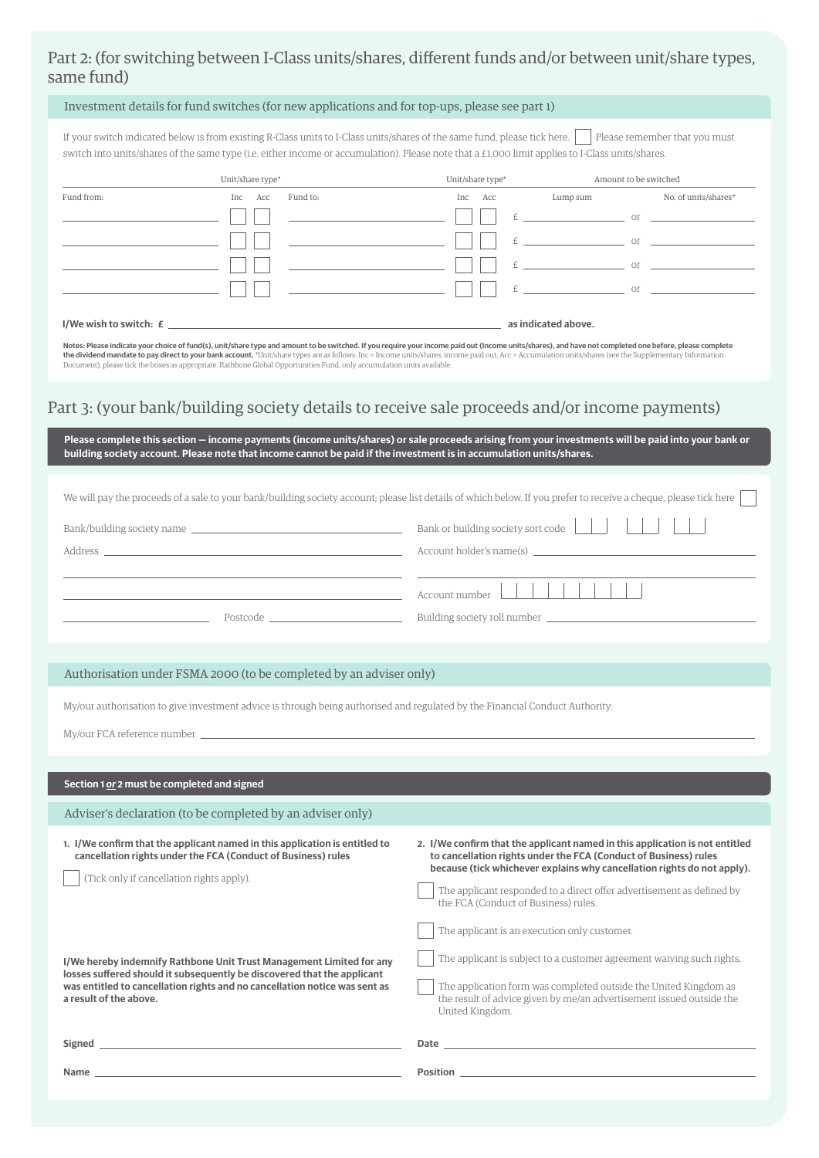# Part 2: (for switching between I-Class units/shares, different funds and/or between unit/share types, same fund)

# Investment details for fund switches (for new applications and for top-ups, please see part 1)

If your switch indicated below is from existing R-Class units to I-Class units/shares of the same fund, please tick here. Please remember that you must switch into units/shares of the same type (i.e. either income or accumulation). Please note that a £1,000 limit applies to I-Class units/shares.

|                                                                                                                                                                                                                                       | Unit/share type*       |                                                                                                                      | Unit/share type* |                     | Amount to be switched            |
|---------------------------------------------------------------------------------------------------------------------------------------------------------------------------------------------------------------------------------------|------------------------|----------------------------------------------------------------------------------------------------------------------|------------------|---------------------|----------------------------------|
| Fund from:                                                                                                                                                                                                                            | Fund to:<br>Acc<br>Inc | Inc                                                                                                                  | Acc              | Lump sum            | No. of units/shares <sup>+</sup> |
|                                                                                                                                                                                                                                       |                        |                                                                                                                      |                  |                     | $E$ or                           |
|                                                                                                                                                                                                                                       |                        |                                                                                                                      |                  |                     | $E = 0$ or $E = 0$               |
|                                                                                                                                                                                                                                       |                        |                                                                                                                      |                  |                     | $or$ $\overline{\phantom{a}}$    |
|                                                                                                                                                                                                                                       |                        | <u> 1990 - Jan Stein Stein Stein Stein Stein Stein Stein Stein Stein Stein Stein Stein Stein Stein Stein Stein S</u> |                  | $E$ or              |                                  |
| I/We wish to switch: $\bm{\mathcal{L}}$ and the set of the set of the set of the set of the set of the set of the set of the set of the set of the set of the set of the set of the set of the set of the set of the set of the set o |                        |                                                                                                                      |                  | as indicated above. |                                  |

N<mark>otes: Please indicate your choice of fund(s), unit/share type and amount to be switched. If you require your income paid out (Income units/shares), and have not completed one before, please complete<br>the dividend mandate </mark>

# Part 3: (your bank/building society details to receive sale proceeds and/or income payments)

| building society account. Please note that income cannot be paid if the investment is in accumulation units/shares.                                                                                                                                                                                                                                                                                                                                               | Please complete this section - income payments (income units/shares) or sale proceeds arising from your investments will be paid into your bank or                                                                                                                                                                                                                                           |
|-------------------------------------------------------------------------------------------------------------------------------------------------------------------------------------------------------------------------------------------------------------------------------------------------------------------------------------------------------------------------------------------------------------------------------------------------------------------|----------------------------------------------------------------------------------------------------------------------------------------------------------------------------------------------------------------------------------------------------------------------------------------------------------------------------------------------------------------------------------------------|
| We will pay the proceeds of a sale to your bank/building society account; please list details of which below. If you prefer to receive a cheque, please tick here<br>Bank/building society name<br>Address and the contract of the contract of the contract of the contract of the contract of the contract of the contract of the contract of the contract of the contract of the contract of the contract of the contract of th<br>Postcode <b>Example 2019</b> | Bank or building society sort code<br>Account number<br>Building society roll number                                                                                                                                                                                                                                                                                                         |
| Authorisation under FSMA 2000 (to be completed by an adviser only)                                                                                                                                                                                                                                                                                                                                                                                                |                                                                                                                                                                                                                                                                                                                                                                                              |
| My/our authorisation to give investment advice is through being authorised and regulated by the Financial Conduct Authority:<br>Section 1 or 2 must be completed and signed                                                                                                                                                                                                                                                                                       |                                                                                                                                                                                                                                                                                                                                                                                              |
| Adviser's declaration (to be completed by an adviser only)                                                                                                                                                                                                                                                                                                                                                                                                        |                                                                                                                                                                                                                                                                                                                                                                                              |
| 1. I/We confirm that the applicant named in this application is entitled to<br>cancellation rights under the FCA (Conduct of Business) rules<br>(Tick only if cancellation rights apply).                                                                                                                                                                                                                                                                         | 2. I/We confirm that the applicant named in this application is not entitled<br>to cancellation rights under the FCA (Conduct of Business) rules<br>because (tick whichever explains why cancellation rights do not apply).<br>The applicant responded to a direct offer advertisement as defined by<br>the FCA (Conduct of Business) rules.<br>The applicant is an execution only customer. |
| I/We hereby indemnify Rathbone Unit Trust Management Limited for any<br>losses suffered should it subsequently be discovered that the applicant<br>was entitled to cancellation rights and no cancellation notice was sent as<br>a result of the above.                                                                                                                                                                                                           | The applicant is subject to a customer agreement waiving such rights.<br>The application form was completed outside the United Kingdom as<br>the result of advice given by me/an advertisement issued outside the<br>United Kingdom.                                                                                                                                                         |
| Signed <b>Signed Signed Signed Signed Signed Signed Signed Signed Signed Signed Signed Signed Signed Signed Signed Signed Signed Signed Signed Signed Signed Signed Signed Signed</b>                                                                                                                                                                                                                                                                             | Date and the contract of the contract of the contract of the contract of the contract of the contract of the contract of the contract of the contract of the contract of the contract of the contract of the contract of the c                                                                                                                                                               |
| Name experience and the second contract of the second contract of the second contract of the second contract of                                                                                                                                                                                                                                                                                                                                                   |                                                                                                                                                                                                                                                                                                                                                                                              |